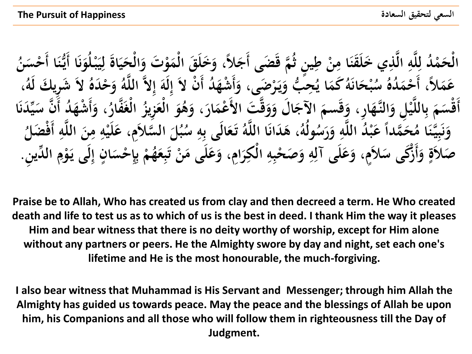ينِ ثُمَّ قَضَى أَجَلاً، وَخَلَقَ الْمَوْتَ وَالْحَيَاةُ لِيَبْلُوَنَا أَيُّنَا أَ<br>\* يَوْمُ قَضَى أَجَادُ ، وَغَوْ رَبَّ رَبَّ بِرَّةٌ . **َ ن َ ْ <sup><br>→</sup> ِ َ َ ْ ہ**<br>، **َ ْ ∫ ْ طِ** الْحَمْدُ لِلَّهِ الَّذِي خَلَقَنَا مِنْ طِينٍ ثُمَّ قَضَى أَجَلاً، وَخَلَقَ الْمَوْتَ وَالْحَيَاةَ لِيَبْلُوَنَا أَيُّنَا أَحْسَ<br>مِنْ قَدَّةِ وَجَمَعَ الْقَدِي خَلَقَنَا مِنْ طِينٍ ثُمَّ قَضَى أَجَلاً، وَخَلَقَ الْمَوْتَ **ِ َ ِ ِ ْ ء ْ ُ ن** َحِبُّ وَيَرْضَى، وَأَشْهَدُ أَنْ لاَ إِلَهَ إِلاَّ اللَّهُ وَحْدَهُ لاَ شَرِيكَ لَهُ،<br>مَتَمَتْ وَيَرْضَى، وَأَشْهَدُ أَنْ لاَ إِلَهَ إِلاَّ اللَّهُ وَحْدَهُ لاَ شَرِيكَ لَهُ، **إ َ ِ** :<br>**ا َ ب َ یا۔ ا ي ُ َكم َو ان ح ب َ َ ْ ُ** عَمَلاً، أَحْمَلُهُ سُر<br>شعر الله الله عليه **ْ ،** ا<br>مُ أَقْسَمَ بِاللَّيْلِ وَالنَّهَارِ، وَقَسمَ الآجَالَ وَوَقَّتَ الأَعْمَارَ، وَهُوَ الْعَزِيزُ الْغَفَّارُ، وَأَشْهَدُ أَنَّ سَيِّدَنَا **ُ**<br>• **ْ َ ْ و َ** ا<br>م **َ ْ َ َ َ َ ہ**<br>بن **َ َ ْ ب ب**<br>۶ **।**<br>৯ **َ ْ** .<br>. **َ** :<br>م **َ ُ و ُ ول** حَمَّداً عَبْدُ اللَّهِ وَرَسُـُ<br>2 **َ ِ َ ً َ ُ وَنَبِيُّنَا مُ َ ِ ن َ ُ َضل أَف و َّ الل ن م و لَي ، ع سالَمِ َّ ال ُل ب ْ ِ َ ِ ِ ْ َ َ ُ س و الَى ب َع ت ُ و َّ َا الل َ َدان ، ى ِ ب َ** صَلاَةٍ وَأَزْكَى سَلاَمٍ، وَعَلَى آلِهِ وَصَحْبِهِ الْكِرَامِ، وَعَلَى مَنْ تَبِعَهُمْ بِإِحْسَانٍ إِلَى يَوْمِ الدِّينِ. **َ ِ ِ ْ ِ ِ َ َ َ ٍ ِ ْ ب**<br>بہ **ِ إ ٍ َ ْ ب ب**<br>پن **ْ َ ِ** ت<br>. **ت َ َ**

**Praise be to Allah, Who has created us from clay and then decreed a term. He Who created death and life to test us as to which of us is the best in deed. I thank Him the way it pleases Him and bear witness that there is no deity worthy of worship, except for Him alone without any partners or peers. He the Almighty swore by day and night, set each one's lifetime and He is the most honourable, the much-forgiving.**

**I also bear witness that Muhammad is His Servant and Messenger; through him Allah the Almighty has guided us towards peace. May the peace and the blessings of Allah be upon him, his Companions and all those who will follow them in righteousness till the Day of Judgment.**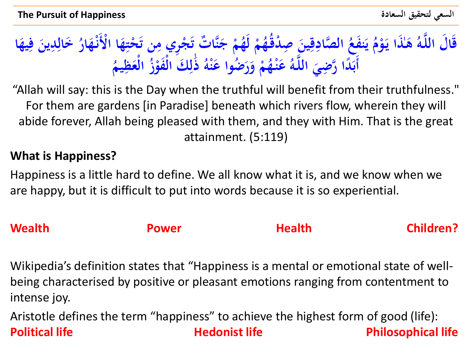### **َٰذا ى ُ و َّ قَا َل الل م ُ ُ ه دق ِص ين ق صادِ ال َّ ُ َفع ن ُ م و ي م ُ لَه ا يه ف ين دِ ُ َخال ار ه ْألَن ا ا ه حت ْ َ ن ت جِري م ْ َ ت ت ٌ َّا ن ج َ ْ ْ** ن<br>بار<br>بار **ِ ياءِ ي ْ ياءِ ْ َ ِ َ ِ َ ئی**<br>با **َ ِ ِ َ** أَبَدًا رَّضِيَ اللَّهُ عَنْهُمْ وَرَضُوا عَنْهُ ذَٰلِكَ الْفَوْزُ **َ ْ َ َ ْ ْ َ ِ ل ٰ ْ ْ ُ يم َظِ ع ال ْ**

"Allah will say: this is the Day when the truthful will benefit from their truthfulness." For them are gardens [in Paradise] beneath which rivers flow, wherein they will abide forever, Allah being pleased with them, and they with Him. That is the great attainment. (5:119)

### **What is Happiness?**

Happiness is a little hard to define. We all know what it is, and we know when we are happy, but it is difficult to put into words because it is so experiential.

# **Wealth Children?** Power **Realth Children?**

Wikipedia's definition states that "Happiness is a mental or emotional state of wellbeing characterised by positive or pleasant emotions ranging from contentment to intense joy.

Aristotle defines the term "happiness" to achieve the highest form of good (life): **Political life Contract Contract Hedonist life Research Philosophical life**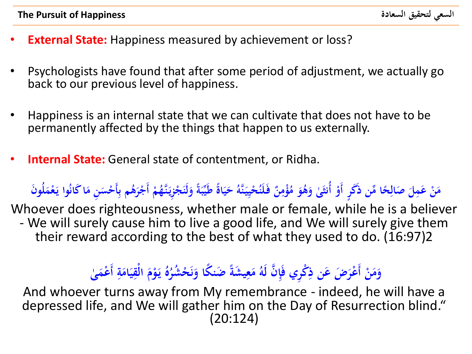- **External State:** Happiness measured by achievement or loss?
- Psychologists have found that after some period of adjustment, we actually go back to our previous level of happiness.
- Happiness is an internal state that we can cultivate that does not have to be permanently affected by the things that happen to us externally.
- **Internal State:** General state of contentment, or Ridha.

**ً** مَنْ عَمِلَ صَالِحًا مِّن ذَكَرٍ أَوْ أُنثَىٰ وَهُوَ مُؤْمِنٌ فَلَنُحْيِيَنَّهُ حَيَاةً طَيِّبَةً وَلَنَجْزِيَنَّهُمْ أَجْرَهُم بِأَحْسَنِ مَا كَانُوا يَعْمَلُونَ **َ ً َ َ ِ ِ َ َ ً ِ ْ ياءِ َ َ يا**<br>-**َ َ** .<br>**ب َ**

Whoever does righteousness, whether male or female, while he is a believer - We will surely cause him to live a good life, and We will surely give them their reward according to the best of what they used to do. (16:97)2

### **ى ٰ َ ْعم أَ ة ام ي الْق م و ي ُ ه ِ َ َ 2021 َ ْ ياءِ ُ** وَمَنْ أَعْرَضَ عَن ذِكْرِي فَإِنَّ لَهُ مَعِيشَةً صَنكًا وَنَحْشُرُا **ُ**<br>• **ن َ ِ َ ْ َ**

And whoever turns away from My remembrance - indeed, he will have a depressed life, and We will gather him on the Day of Resurrection blind." (20:124)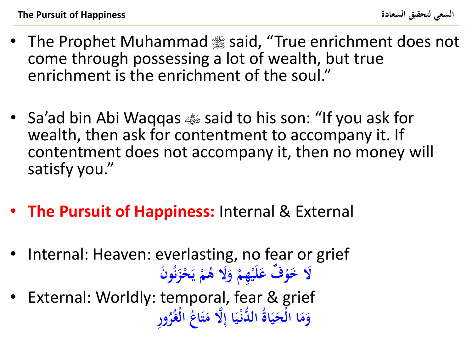- The Prophet Muhammad . said, "True enrichment does not come through possessing a lot of wealth, but true enrichment is the enrichment of the soul."
- Sa'ad bin Abi Waqqas  $\bullet\$  said to his son: "If you ask for wealth, then ask for contentment to accompany it. If contentment does not accompany it, then no money will satisfy you."
- **The Pursuit of Happiness:** Internal & External
- Internal: Heaven: everlasting, no fear or grief **وَن ُ حز ْ َ م ُ َال ى و ِهم لَي ٌف ع َال َخو ن ي**
- .<br>ز **ْ َ ْ ْ َ ْ** External: Worldly: temporal, fear & grief **وِر اپنی**<br>ا وَمَا الْحَيَاةُ الدُّنْيَا إِلَّا مَتَاعُ الْغُرُ **ْ َ َ <u><sup></sub>**</del></u></sup> **ائی**<br>اف **َ َ ْ َ َ**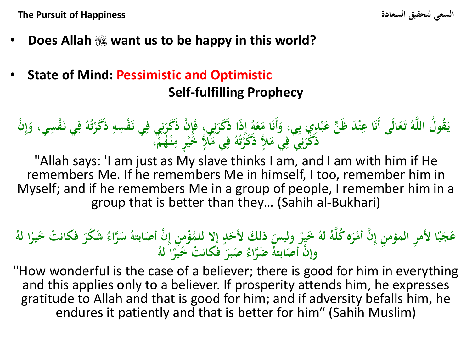- **Does Allah want us to be happy in this world?**
- **State of Mind: Pessimistic and Optimistic Self-fulfilling Prophecy**

**ْ ذََكر ِ ِسو َْف ي ن ِ ي ف ِ ن َ ْن ذََكر ِ ي، فَإ ِ ن َ َذا ذََكر ِ إ ُ و َ ع َ َا م أَن َ ِي، و ْدِي <sup>ب</sup> ب َ ن ع ْ َد ظَ ِّ ن َا عِ الَى أَن َ َع ت ُ و َّ ل الل ُ قو ُ َ ي ت ْن ُ ِ إ َ ِسي، و َْف ي ن ِ ف ُ و ْ م ُ ْه ن ِ ر م ٍ ْ أل َخي ٍ َ ي م ِ ف ُ و ُ ت ْ أل ذََكر ٍ َ ي م ِ ي ف ِ ن َ ذََكر ،**

"Allah says: 'I am just as My slave thinks I am, and I am with him if He remembers Me. If he remembers Me in himself, I too, remember him in Myself; and if he remembers Me in a group of people, I remember him in a group that is better than they… (Sahih al-Bukhari)

### عَجَبًا لأمرِ المؤمنِ إِنَّ أَمْرَه كُلَّهُ لهُ خَيرٌ وليسَ ذلكَ لأَحَدٍ إلا للمُؤْمنِ إِنْ أَصَابتهُ سَرَّاءُ شَكَرَ فكانتْ خَيرًا لهُ<br>النُّهُ أَمْرِ الْمَؤْمَنِ إِنَّ أَمْرَه كُلَّهُ لهُ خَيَرًا مَنْ يَسَوْلُهُ مَرَ مَع **َ َ ِ ٍ َ َ ً َ ً** وإنَّ أَصَابتهُ ضَرَّاءُ صَبرَ فَكانتْ خَيْرًا لَهُ **ً َ**

"How wonderful is the case of a believer; there is good for him in everything and this applies only to a believer. If prosperity attends him, he expresses gratitude to Allah and that is good for him; and if adversity befalls him, he endures it patiently and that is better for him" (Sahih Muslim)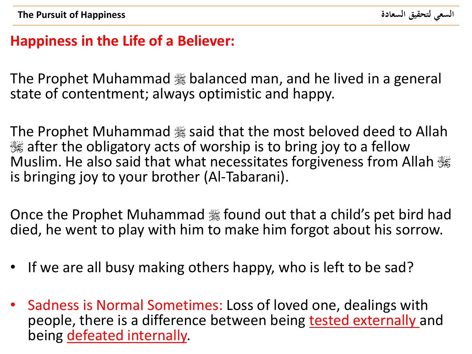## **Happiness in the Life of a Believer:**

The Prophet Muhammad . balanced man, and he lived in a general state of contentment; always optimistic and happy.

The Prophet Muhammad . said that the most beloved deed to Allah 3. The obligatory acts of worship is to bring joy to a fellow Muslim. He also said that what necessitates forgiveness from Allah  $\frac{116}{200}$ is bringing joy to your brother (Al-Tabarani).

Once the Prophet Muhammad . found out that a child's pet bird had died, he went to play with him to make him forgot about his sorrow.

- If we are all busy making others happy, who is left to be sad?
- Sadness is Normal Sometimes: Loss of loved one, dealings with people, there is a difference between being tested externally and being defeated internally.